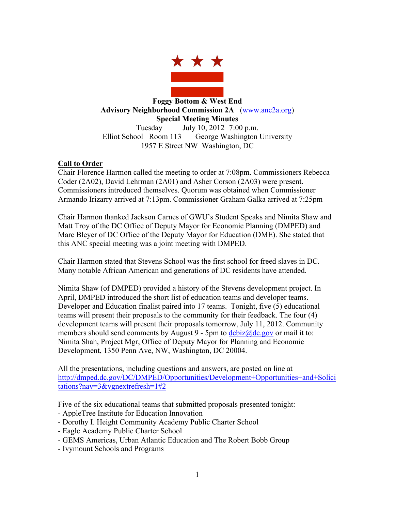

**Foggy Bottom & West End Advisory Neighborhood Commission 2A** (www.anc2a.org) **Special Meeting Minutes** Tuesday July 10, 2012 7:00 p.m. Elliot School Room 113 George Washington University 1957 E Street NW Washington, DC

# **Call to Order**

Chair Florence Harmon called the meeting to order at 7:08pm. Commissioners Rebecca Coder (2A02), David Lehrman (2A01) and Asher Corson (2A03) were present. Commissioners introduced themselves. Quorum was obtained when Commissioner Armando Irizarry arrived at 7:13pm. Commissioner Graham Galka arrived at 7:25pm

Chair Harmon thanked Jackson Carnes of GWU's Student Speaks and Nimita Shaw and Matt Troy of the DC Office of Deputy Mayor for Economic Planning (DMPED) and Marc Bleyer of DC Office of the Deputy Mayor for Education (DME). She stated that this ANC special meeting was a joint meeting with DMPED.

Chair Harmon stated that Stevens School was the first school for freed slaves in DC. Many notable African American and generations of DC residents have attended.

Nimita Shaw (of DMPED) provided a history of the Stevens development project. In April, DMPED introduced the short list of education teams and developer teams. Developer and Education finalist paired into 17 teams. Tonight, five (5) educational teams will present their proposals to the community for their feedback. The four (4) development teams will present their proposals tomorrow, July 11, 2012. Community members should send comments by August 9 - 5pm to  $\frac{\text{dc}\text{biz}}{\text{abc}}$  gov or mail it to: Nimita Shah, Project Mgr, Office of Deputy Mayor for Planning and Economic Development, 1350 Penn Ave, NW, Washington, DC 20004.

All the presentations, including questions and answers, are posted on line at http://dmped.dc.gov/DC/DMPED/Opportunities/Development+Opportunities+and+Solici tations?nav=3&vgnextrefresh=1#2

Five of the six educational teams that submitted proposals presented tonight: - AppleTree Institute for Education Innovation

- Dorothy I. Height Community Academy Public Charter School
- Eagle Academy Public Charter School
- GEMS Americas, Urban Atlantic Education and The Robert Bobb Group
- Ivymount Schools and Programs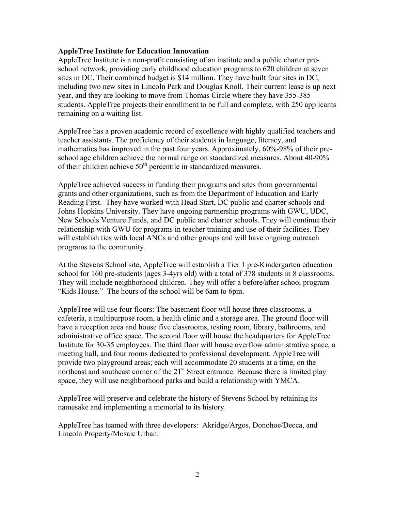## **AppleTree Institute for Education Innovation**

AppleTree Institute is a non-profit consisting of an institute and a public charter preschool network, providing early childhood education programs to 620 children at seven sites in DC. Their combined budget is \$14 million. They have built four sites in DC, including two new sites in Lincoln Park and Douglas Knoll. Their current lease is up next year, and they are looking to move from Thomas Circle where they have 355-385 students. AppleTree projects their enrollment to be full and complete, with 250 applicants remaining on a waiting list.

AppleTree has a proven academic record of excellence with highly qualified teachers and teacher assistants. The proficiency of their students in language, literacy, and mathematics has improved in the past four years. Approximately, 60%-98% of their preschool age children achieve the normal range on standardized measures. About 40-90% of their children achieve 50<sup>th</sup> percentile in standardized measures.

AppleTree achieved success in funding their programs and sites from governmental grants and other organizations, such as from the Department of Education and Early Reading First. They have worked with Head Start, DC public and charter schools and Johns Hopkins University. They have ongoing partnership programs with GWU, UDC, New Schools Venture Funds, and DC public and charter schools. They will continue their relationship with GWU for programs in teacher training and use of their facilities. They will establish ties with local ANCs and other groups and will have ongoing outreach programs to the community.

At the Stevens School site, AppleTree will establish a Tier 1 pre-Kindergarten education school for 160 pre-students (ages 3-4yrs old) with a total of 378 students in 8 classrooms. They will include neighborhood children. They will offer a before/after school program "Kids House." The hours of the school will be 6am to 6pm.

AppleTree will use four floors: The basement floor will house three classrooms, a cafeteria, a multipurpose room, a health clinic and a storage area. The ground floor will have a reception area and house five classrooms, testing room, library, bathrooms, and administrative office space. The second floor will house the headquarters for AppleTree Institute for 30-35 employees. The third floor will house overflow administrative space, a meeting hall, and four rooms dedicated to professional development. AppleTree will provide two playground areas; each will accommodate 20 students at a time, on the northeast and southeast corner of the 21<sup>st</sup> Street entrance. Because there is limited play space, they will use neighborhood parks and build a relationship with YMCA.

AppleTree will preserve and celebrate the history of Stevens School by retaining its namesake and implementing a memorial to its history.

AppleTree has teamed with three developers: Akridge/Argos, Donohoe/Decca, and Lincoln Property/Mosaic Urban.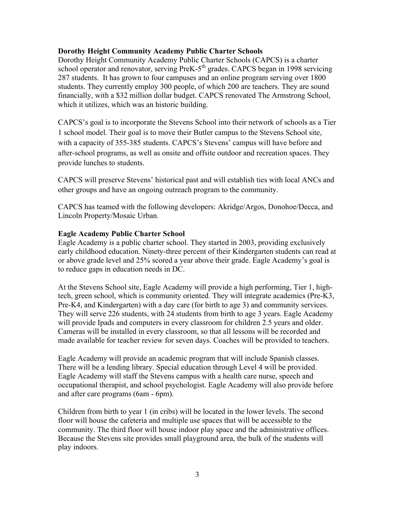## **Dorothy Height Community Academy Public Charter Schools**

Dorothy Height Community Academy Public Charter Schools (CAPCS) is a charter school operator and renovator, serving PreK-5<sup>th</sup> grades. CAPCS began in 1998 servicing 287 students. It has grown to four campuses and an online program serving over 1800 students. They currently employ 300 people, of which 200 are teachers. They are sound financially, with a \$32 million dollar budget. CAPCS renovated The Armstrong School, which it utilizes, which was an historic building.

CAPCS's goal is to incorporate the Stevens School into their network of schools as a Tier 1 school model. Their goal is to move their Butler campus to the Stevens School site, with a capacity of 355-385 students. CAPCS's Stevens' campus will have before and after-school programs, as well as onsite and offsite outdoor and recreation spaces. They provide lunches to students.

CAPCS will preserve Stevens' historical past and will establish ties with local ANCs and other groups and have an ongoing outreach program to the community.

CAPCS has teamed with the following developers: Akridge/Argos, Donohoe/Decca, and Lincoln Property/Mosaic Urban.

#### **Eagle Academy Public Charter School**

Eagle Academy is a public charter school. They started in 2003, providing exclusively early childhood education. Ninety-three percent of their Kindergarten students can read at or above grade level and 25% scored a year above their grade. Eagle Academy's goal is to reduce gaps in education needs in DC.

At the Stevens School site, Eagle Academy will provide a high performing, Tier 1, hightech, green school, which is community oriented. They will integrate academics (Pre-K3, Pre-K4, and Kindergarten) with a day care (for birth to age 3) and community services. They will serve 226 students, with 24 students from birth to age 3 years. Eagle Academy will provide Ipads and computers in every classroom for children 2.5 years and older. Cameras will be installed in every classroom, so that all lessons will be recorded and made available for teacher review for seven days. Coaches will be provided to teachers.

Eagle Academy will provide an academic program that will include Spanish classes. There will be a lending library. Special education through Level 4 will be provided. Eagle Academy will staff the Stevens campus with a health care nurse, speech and occupational therapist, and school psychologist. Eagle Academy will also provide before and after care programs (6am - 6pm).

Children from birth to year 1 (in cribs) will be located in the lower levels. The second floor will house the cafeteria and multiple use spaces that will be accessible to the community. The third floor will house indoor play space and the administrative offices. Because the Stevens site provides small playground area, the bulk of the students will play indoors.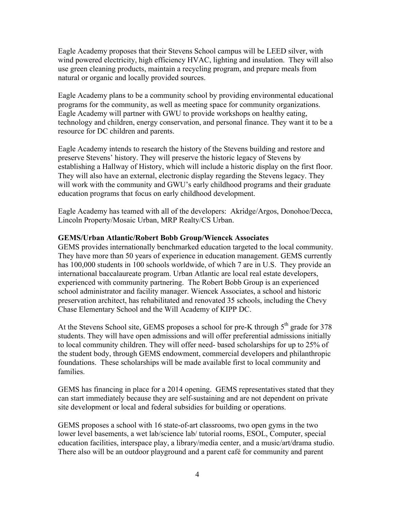Eagle Academy proposes that their Stevens School campus will be LEED silver, with wind powered electricity, high efficiency HVAC, lighting and insulation. They will also use green cleaning products, maintain a recycling program, and prepare meals from natural or organic and locally provided sources.

Eagle Academy plans to be a community school by providing environmental educational programs for the community, as well as meeting space for community organizations. Eagle Academy will partner with GWU to provide workshops on healthy eating, technology and children, energy conservation, and personal finance. They want it to be a resource for DC children and parents.

Eagle Academy intends to research the history of the Stevens building and restore and preserve Stevens' history. They will preserve the historic legacy of Stevens by establishing a Hallway of History, which will include a historic display on the first floor. They will also have an external, electronic display regarding the Stevens legacy. They will work with the community and GWU's early childhood programs and their graduate education programs that focus on early childhood development.

Eagle Academy has teamed with all of the developers: Akridge/Argos, Donohoe/Decca, Lincoln Property/Mosaic Urban, MRP Realty/CS Urban.

#### **GEMS/Urban Atlantic/Robert Bobb Group/Wiencek Associates**

GEMS provides internationally benchmarked education targeted to the local community. They have more than 50 years of experience in education management. GEMS currently has 100,000 students in 100 schools worldwide, of which 7 are in U.S. They provide an international baccalaureate program. Urban Atlantic are local real estate developers, experienced with community partnering. The Robert Bobb Group is an experienced school administrator and facility manager. Wiencek Associates, a school and historic preservation architect, has rehabilitated and renovated 35 schools, including the Chevy Chase Elementary School and the Will Academy of KIPP DC.

At the Stevens School site, GEMS proposes a school for pre-K through 5<sup>th</sup> grade for 378 students. They will have open admissions and will offer preferential admissions initially to local community children. They will offer need- based scholarships for up to 25% of the student body, through GEMS endowment, commercial developers and philanthropic foundations. These scholarships will be made available first to local community and families.

GEMS has financing in place for a 2014 opening. GEMS representatives stated that they can start immediately because they are self-sustaining and are not dependent on private site development or local and federal subsidies for building or operations.

GEMS proposes a school with 16 state-of-art classrooms, two open gyms in the two lower level basements, a wet lab/science lab/ tutorial rooms, ESOL, Computer, special education facilities, interspace play, a library/media center, and a music/art/drama studio. There also will be an outdoor playground and a parent café for community and parent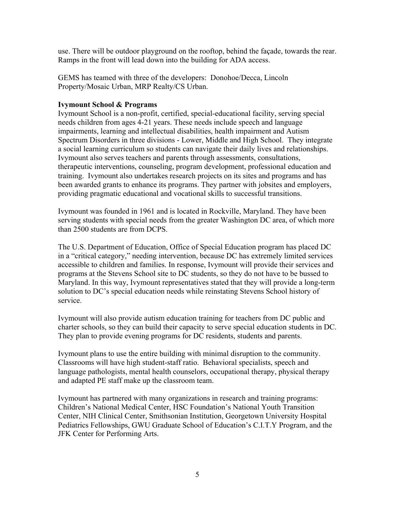use. There will be outdoor playground on the rooftop, behind the façade, towards the rear. Ramps in the front will lead down into the building for ADA access.

GEMS has teamed with three of the developers: Donohoe/Decca, Lincoln Property/Mosaic Urban, MRP Realty/CS Urban.

## **Ivymount School & Programs**

Ivymount School is a non-profit, certified, special-educational facility, serving special needs children from ages 4-21 years. These needs include speech and language impairments, learning and intellectual disabilities, health impairment and Autism Spectrum Disorders in three divisions - Lower, Middle and High School. They integrate a social learning curriculum so students can navigate their daily lives and relationships. Ivymount also serves teachers and parents through assessments, consultations, therapeutic interventions, counseling, program development, professional education and training. Ivymount also undertakes research projects on its sites and programs and has been awarded grants to enhance its programs. They partner with jobsites and employers, providing pragmatic educational and vocational skills to successful transitions.

Ivymount was founded in 1961 and is located in Rockville, Maryland. They have been serving students with special needs from the greater Washington DC area, of which more than 2500 students are from DCPS.

The U.S. Department of Education, Office of Special Education program has placed DC in a "critical category," needing intervention, because DC has extremely limited services accessible to children and families. In response, Ivymount will provide their services and programs at the Stevens School site to DC students, so they do not have to be bussed to Maryland. In this way, Ivymount representatives stated that they will provide a long-term solution to DC's special education needs while reinstating Stevens School history of service.

Ivymount will also provide autism education training for teachers from DC public and charter schools, so they can build their capacity to serve special education students in DC. They plan to provide evening programs for DC residents, students and parents.

Ivymount plans to use the entire building with minimal disruption to the community. Classrooms will have high student-staff ratio. Behavioral specialists, speech and language pathologists, mental health counselors, occupational therapy, physical therapy and adapted PE staff make up the classroom team.

Ivymount has partnered with many organizations in research and training programs: Children's National Medical Center, HSC Foundation's National Youth Transition Center, NIH Clinical Center, Smithsonian Institution, Georgetown University Hospital Pediatrics Fellowships, GWU Graduate School of Education's C.I.T.Y Program, and the JFK Center for Performing Arts.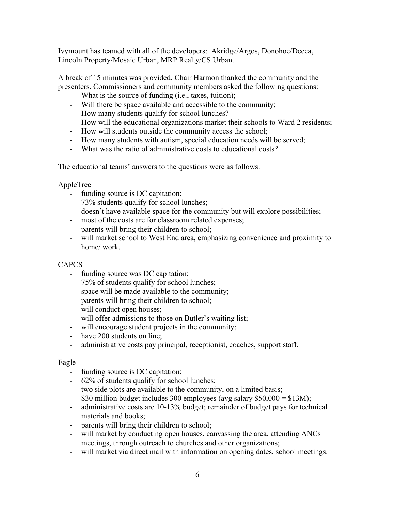Ivymount has teamed with all of the developers: Akridge/Argos, Donohoe/Decca, Lincoln Property/Mosaic Urban, MRP Realty/CS Urban.

A break of 15 minutes was provided. Chair Harmon thanked the community and the presenters. Commissioners and community members asked the following questions:

- What is the source of funding (i.e., taxes, tuition);
- Will there be space available and accessible to the community;
- How many students qualify for school lunches?
- How will the educational organizations market their schools to Ward 2 residents;
- How will students outside the community access the school;
- How many students with autism, special education needs will be served;
- What was the ratio of administrative costs to educational costs?

The educational teams' answers to the questions were as follows:

AppleTree

- funding source is DC capitation;
- 73% students qualify for school lunches;
- doesn't have available space for the community but will explore possibilities;
- most of the costs are for classroom related expenses;
- parents will bring their children to school;
- will market school to West End area, emphasizing convenience and proximity to home/ work.

## **CAPCS**

- funding source was DC capitation;
- 75% of students qualify for school lunches;
- space will be made available to the community;
- parents will bring their children to school;
- will conduct open houses;
- will offer admissions to those on Butler's waiting list;
- will encourage student projects in the community;
- have 200 students on line;
- administrative costs pay principal, receptionist, coaches, support staff.

#### Eagle

- funding source is DC capitation;
- 62% of students qualify for school lunches;
- two side plots are available to the community, on a limited basis;
- $\text{-}$  \$30 million budget includes 300 employees (avg salary \$50,000 = \$13M);
- administrative costs are 10-13% budget; remainder of budget pays for technical materials and books;
- parents will bring their children to school;
- will market by conducting open houses, canvassing the area, attending ANCs meetings, through outreach to churches and other organizations;
- will market via direct mail with information on opening dates, school meetings.